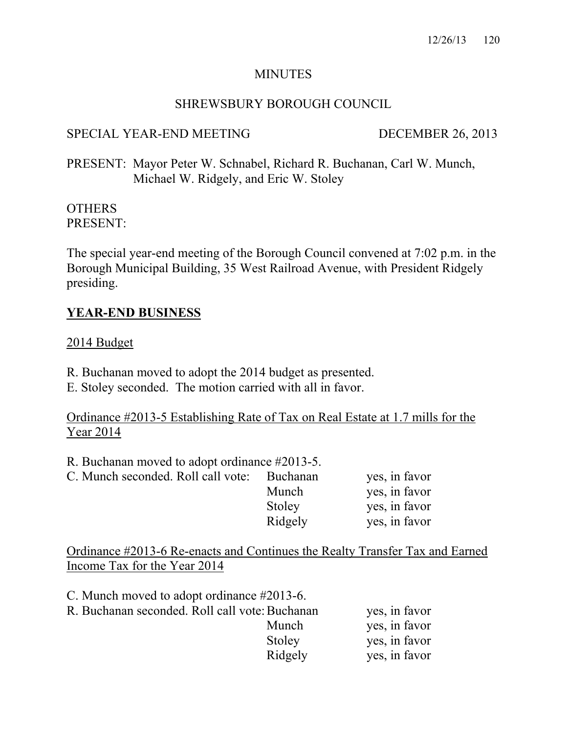## MINUTES

## SHREWSBURY BOROUGH COUNCIL

## SPECIAL YEAR-END MEETING DECEMBER 26, 2013

PRESENT: Mayor Peter W. Schnabel, Richard R. Buchanan, Carl W. Munch, Michael W. Ridgely, and Eric W. Stoley

#### **OTHERS** PRESENT:

The special year-end meeting of the Borough Council convened at 7:02 p.m. in the Borough Municipal Building, 35 West Railroad Avenue, with President Ridgely presiding.

## **YEAR-END BUSINESS**

### 2014 Budget

- R. Buchanan moved to adopt the 2014 budget as presented.
- E. Stoley seconded. The motion carried with all in favor.

Ordinance #2013-5 Establishing Rate of Tax on Real Estate at 1.7 mills for the Year 2014

R. Buchanan moved to adopt ordinance #2013-5.

| C. Munch seconded. Roll call vote: Buchanan |         | yes, in favor |
|---------------------------------------------|---------|---------------|
|                                             | Munch   | yes, in favor |
|                                             | Stoley  | yes, in favor |
|                                             | Ridgely | yes, in favor |

Ordinance #2013-6 Re-enacts and Continues the Realty Transfer Tax and Earned Income Tax for the Year 2014

| C. Munch moved to adopt ordinance #2013-6.     |         |               |
|------------------------------------------------|---------|---------------|
| R. Buchanan seconded. Roll call vote: Buchanan |         | yes, in favor |
|                                                | Munch   | yes, in favor |
|                                                | Stoley  | yes, in favor |
|                                                | Ridgely | yes, in favor |